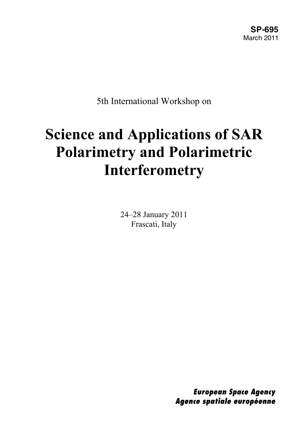5th International Workshop on

# **Science and Applications of SAR Polarimetry and Polarimetric Interferometry**

24–28 January 2011 Frascati, Italy

> **European Space Agency** Agence spatiale européenne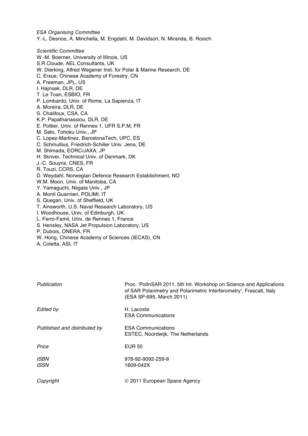ESA Organising Committee Y.‐L. Desnos, A. Minchella, M. Engdahl, M. Davidson, N. Miranda, B. Rosich

Scientific Committee W.-M. Boerner, University of Illinois, US S.R Cloude, AEL Consultants, UK W. Dierking, Alfred Wegener Inst. for Polar & Marine Research, DE C. Erxue, Chinese Academy of Forestry, CN A. Freeman, JPL, US I. Hajnsek, DLR, DE T. Le Toan, ESBIO, FR P. Lombardo, Univ. of Rome, La Sapienza, IT A. Moreira, DLR, DE S. Chalifoux, CSA, CA K.P. Papathanassiou, DLR, DE E. Pottier, Univ. of Rennes 1, UFR S.P.M, FR M. Sato, Tohoku Univ., JP C. Lopez‐Martinez, BarcelonaTech, UPC, ES C. Schmullius, Friedrich‐Schiller Univ. Jena, DE M. Shimada, EORC/JAXA, JP H. Skriver, Technical Univ. of Denmark, DK J.‐C. Souyris, CNES, FR R. Touzi, CCRS, CA D. Weydahl, Norwegian Defence Research Establishment, NO W.M. Moon, Univ. of Manitoba, CA Y. Yamaguchi, Niigata Univ., JP A. Monti Guarnieri, POLIMI, IT S. Quegan, Univ. of Sheffield, UK T. Ainsworth, U.S. Naval Research Laboratory, US I. Woodhouse, Univ. of Edinburgh, UK L. Ferro‐Famil, Univ. de Rennes 1, France S. Hensley, NASA Jet Propulsion Laboratory, US P. Dubois, ONERA, FR

- W. Hong, Chinese Academy of Sciences (IECAS), CN
- A. Coletta, ASI, IT

| Publication                  | Proc. 'PollnSAR 2011, 5th Int. Workshop on Science and Applications<br>of SAR Polarimetry and Polarimetric Interferometry', Frascati, Italy<br>(ESA SP-695, March 2011) |
|------------------------------|-------------------------------------------------------------------------------------------------------------------------------------------------------------------------|
| <b>Edited by</b>             | H. Lacoste<br><b>ESA Communications</b>                                                                                                                                 |
| Published and distributed by | <b>ESA Communications</b><br>ESTEC, Noordwijk, The Netherlands                                                                                                          |
| Price                        | <b>EUR 50</b>                                                                                                                                                           |
| <b>ISBN</b><br><b>ISSN</b>   | 978-92-9092-259-9<br>1609-042X                                                                                                                                          |
| Copyright                    | © 2011 European Space Agency                                                                                                                                            |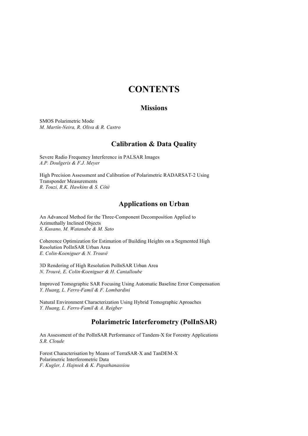### **CONTENTS**

#### **Missions**

SMOS Polarimetric Mode *M. Martín*‐*Neira, R. Oliva & R. Castro*

#### **Calibration & Data Quality**

Severe Radio Frequency Interference in PALSAR Images *A.P. Doulgeris & F.J. Meyer*

High Precision Assessment and Calibration of Polarimetric RADARSAT-2 Using Transponder Measurements *R. Touzi, R.K. Hawkins & S. Côté*

#### **Applications on Urban**

An Advanced Method for the Three‐Component Decomposition Applied to Azimuthally Inclined Objects *S. Kusano, M. Watanabe & M. Sato*

Coherence Optimization for Estimation of Building Heights on a Segmented High Resolution PolInSAR Urban Area *E. Colin*‐*Koeniguer & N. Trouvé*

3D Rendering of High Resolution PolInSAR Urban Area *N. Trouvé, E. Colin*‐*Koeniguer & H. Cantalloube*

Improved Tomographic SAR Focusing Using Automatic Baseline Error Compensation *Y. Huang, L. Ferro*‐*Famil & F. Lombardini*

Natural Environment Characterization Using Hybrid Tomographic Aproaches *Y. Huang, L. Ferro*‐*Famil & A. Reigber*

#### **Polarimetric Interferometry (PolInSAR)**

An Assessment of the PolInSAR Performance of Tandem‐X for Forestry Applications *S.R. Cloude*

Forest Characterisation by Means of TerraSAR‐X and TanDEM‐X Polarimetric Interferometric Data *F. Kugler, I. Hajnsek & K. Papathanassiou*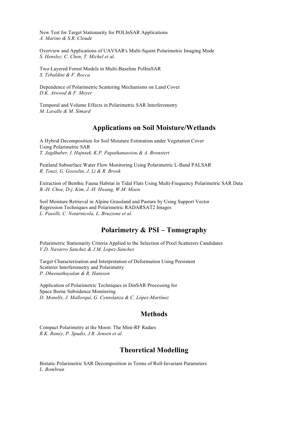New Test for Target Stationarity for POLInSAR Applications *A. Marino & S.R. Cloude*

Overview and Applications of UAVSAR's Multi‐Squint Polarimetric Imaging Mode *S. Hensley, C. Chen, T. Michel et al.*

Two‐Layered Forest Models in Multi-Baseline PolInsSAR *S. Tebaldini & F. Rocca*

Dependence of Polarimetric Scattering Mechanisms on Land Cover *D.K. Atwood & F. Meyer*

Temporal and Volume Effects in Polarimetric SAR Interferometry *M. Lavalle & M. Simard*

#### **Applications on Soil Moisture/Wetlands**

A Hybrid Decomposition for Soil Moisture Estimation under Vegetation Cover Using Polarimetric SAR *T. Jagdhuber, I. Hajnsek, K.P. Papathanassiou & A. Bronstert*

Peatland Subsurface Water Flow Monitoring Using Polarimetric L-Band PALSAR *R. Touzi, G. Gosselin, J. Li & R. Brook*

Extraction of Benthic Fauna Habitat in Tidal Flats Using Multi‐Frequency Polarimetric SAR Data *B.-H. Choe, D-j. Kim, J.-H. Hwang, W.M. Moon*

Soil Moisture Retrieval in Alpine Grassland and Pasture by Using Support Vector Regression Techniques and Polarimetric RADARSAT2 Images *L. Pasolli, C. Notarnicola, L. Bruzzone et al.*

#### **Polarimetry & PSI – Tomography**

Polarimetric Stationarity Criteria Applied to the Selection of Pixel Scatterers Candidates *V.D. Navarro Sanchez & J.M. Lopez-Sanchez*

Target Characterization and Interpretation of Deformation Using Persistent Scatterer Interferometry and Polarimetry *P. Dheenathayalan & R. Hanssen*

Application of Polarimetric Techniques in DinSAR Processing for Space Borne Subsidence Monitoring *D. Monells, J. Mallorquí, G. Centolanza & C. López*‐*Martínez*

#### **Methods**

Compact Polarimetry at the Moon: The Mini‐RF Radars *R.K. Raney, P. Spudis, J.R. Jensen et al.*

#### **Theoretical Modelling**

Bistatic Polarimetric SAR Decomposition in Terms of Roll‐Invariant Parameters *L. Bombrun*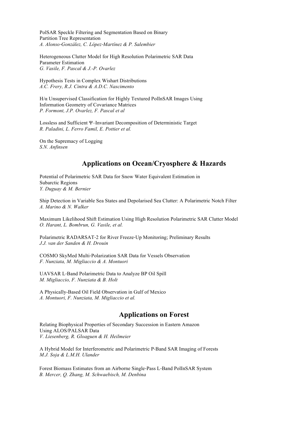PolSAR Speckle Filtering and Segmentation Based on Binary Partition Tree Representation *A. Alonso*‐*González, C. López*‐*Martínez & P. Salembier*

Heterogeneous Clutter Model for High Resolution Polarimetric SAR Data Parameter Estimation *G. Vasile, F. Pascal & J.-P. Ovarlez*

Hypothesis Tests in Complex Wishart Distributions *A.C. Frery, R.J. Cintra & A.D.C. Nascimento*

H/α Unsupervised Classification for Highly Textured PolInSAR Images Using Information Geometry of Covariance Matrices *P. Formont, J.P. Ovarlez, F. Pascal et al*

Lossless and Sufficient Ψ–Invariant Decomposition of Deterministic Target *R. Paladini, L. Ferro Famil, E. Pottier et al.*

On the Supremacy of Logging *S.N. Anfinsen*

#### **Applications on Ocean/Cryosphere & Hazards**

Potential of Polarimetric SAR Data for Snow Water Equivalent Estimation in Subarctic Regions *Y. Duguay & M. Bernier*

Ship Detection in Variable Sea States and Depolarised Sea Clutter: A Polarimetric Notch Filter *A. Marino & N. Walker*

Maximum Likelihood Shift Estimation Using High Resolution Polarimetric SAR Clutter Model *O. Harant, L. Bombrun, G. Vasile, et al.*

Polarimetric RADARSAT‐2 for River Freeze‐Up Monitoring; Preliminary Results *J.J. van der Sanden & H. Drouin*

COSMO SkyMed Multi‐Polarization SAR Data for Vessels Observation *F. Nunziata, M. Migliaccio & A. Montuori*

UAVSAR L‐Band Polarimetric Data to Analyze BP Oil Spill *M. Migliaccio, F. Nunziata & B. Holt*

A Physically-Based Oil Field Observation in Gulf of Mexico *A. Montuori, F. Nunziata, M. Migliaccio et al.*

#### **Applications on Forest**

Relating Biophysical Properties of Secondary Succession in Eastern Amazon Using ALOS/PALSAR Data *V. Liesenberg, R. Gloaguen & H. Heilmeier*

A Hybrid Model for Interferometric and Polarimetric P‐Band SAR Imaging of Forests *M.J. Soja & L.M.H. Ulander*

Forest Biomass Estimates from an Airborne Single‐Pass L‐Band PolInSAR System *B. Mercer, Q. Zhang, M. Schwaebisch, M. Denbina*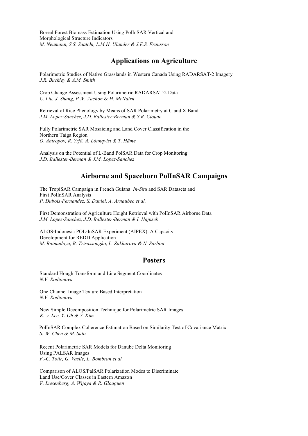Boreal Forest Biomass Estimation Using PolInSAR Vertical and Morphological Structure Indicators *M. Neumann, S.S. Saatchi, L.M.H. Ulander & J.E.S. Fransson*

#### **Applications on Agriculture**

Polarimetric Studies of Native Grasslands in Western Canada Using RADARSAT‐2 Imagery *J.R. Buckley & A.M. Smith*

Crop Change Assessment Using Polarimetric RADARSAT‐2 Data *C. Liu, J. Shang, P.W. Vachon & H. McNairn*

Retrieval of Rice Phenology by Means of SAR Polarimetry at C and X Band *J.M. Lopez*‐*Sanchez, J.D. Ballester*‐*Berman & S.R. Cloude* 

Fully Polarimetric SAR Mosaicing and Land Cover Classification in the Northern Taiga Region *O. Antropov, R. Yrjö, A. Lönnqvist & T. Häme*

Analysis on the Potential of L-Band PolSAR Data for Crop Monitoring *J.D. Ballester*‐*Berman & J.M. Lopez*‐*Sanchez*

#### **Airborne and Spaceborn PolInSAR Campaigns**

The TropiSAR Campaign in French Guiana: *In-Situ* and SAR Datasets and First PolInSAR Analysis *P. Dubois*‐*Fernandez, S. Daniel, A. Arnaubec et al.*

First Demonstration of Agriculture Height Retrieval with PolInSAR Airborne Data *J.M. Lopez*‐*Sanchez, J.D. Ballester*‐*Berman & I. Hajnsek*

ALOS‐Indonesia POL‐InSAR Experiment (AIPEX): A Capacity Development for REDD Application *M. Raimadoya, B. Trisassongko, L. Zakharova & N. Sarbini*

#### **Posters**

Standard Hough Transform and Line Segment Coordinates *N.V. Rodionova*

One Channel Image Texture Based Interpretation *N.V. Rodionova*

New Simple Decomposition Technique for Polarimetric SAR Images  *K.-y. Lee, Y. Oh & Y. Kim*

PolInSAR Complex Coherence Estimation Based on Similarity Test of Covariance Matrix *S.-W. Chen & M. Sato*

Recent Polarimetric SAR Models for Danube Delta Monitoring Using PALSAR Images *F.-C. Totir, G. Vasile, L. Bombrun et al.*

Comparison of ALOS/PalSAR Polarization Modes to Discriminate Land Use/Cover Classes in Eastern Amazon *V. Liesenberg, A. Wijaya & R. Gloaguen*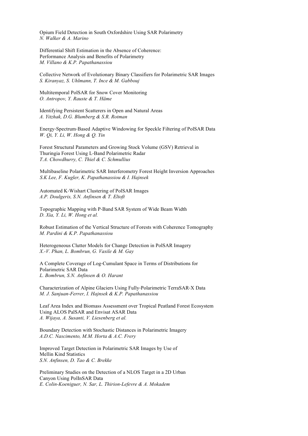Opium Field Detection in South Oxfordshire Using SAR Polarimetry *N. Walker & A. Marino*

Differential Shift Estimation in the Absence of Coherence: Performance Analysis and Benefits of Polarimetry *M. Villano & K.P. Papathanassiou*

Collective Network of Evolutionary Binary Classifiers for Polarimetric SAR Images *S. Kiranyaz, S. Uhlmann, T. Ince & M. Gabbouj*

Multitemporal PolSAR for Snow Cover Monitoring *O. Antropov, Y. Rauste & T. Häme*

Identifying Persistent Scatterers in Open and Natural Areas *A. Yitzhak, D.G. Blumberg & S.R. Rotman*

Energy‐Spectrum‐Based Adaptive Windowing for Speckle Filtering of PolSAR Data *W. Qi, Y. Li, W. Hong & Q. Yin*

Forest Structural Parameters and Growing Stock Volume (GSV) Retrieval in Thuringia Forest Using L‐Band Polarimetric Radar *T.A. Chowdhurry, C. Thiel & C. Schmullius*

Multibaseline Polarimetric SAR Interferometry Forest Height Inversion Approaches *S.K Lee, F. Kugler, K. Papathanassiou & I. Hajnsek*

Automated K‐Wishart Clustering of PolSAR Images *A.P. Doulgeris, S.N. Anfinsen & T. Eltoft*

Topographic Mapping with P‐Band SAR System of Wide Beam Width *D. Xia, Y. Li, W. Hong et al.*

Robust Estimation of the Vertical Structure of Forests with Coherence Tomography *M. Pardini & K.P. Papathanassiou*

Heterogeneous Clutter Models for Change Detection in PolSAR Imagery *X.-V. Phan, L. Bombrun, G. Vasile & M. Gay*

A Complete Coverage of Log‐Cumulant Space in Terms of Distributions for Polarimetric SAR Data *L. Bombrun, S.N. Anfinsen & O. Harant*

Characterization of Alpine Glaciers Using Fully‐Polarimetric TerraSAR‐X Data *M. J. Sanjuan-Ferrer, I. Hajnsek & K.P. Papathanassiou*

Leaf Area Index and Biomass Assessment over Tropical Peatland Forest Ecosystem Using ALOS PalSAR and Envisat ASAR Data *A. Wijaya, A. Susanti, V. Liesenberg et al.*

Boundary Detection with Stochastic Distances in Polarimetric Imagery *A.D.C. Nascimento, M.M. Horta & A.C. Frery*

Improved Target Detection in Polarimetric SAR Images by Use of Mellin Kind Statistics *S.N. Anfinsen, D. Tao & C. Brekke*

Preliminary Studies on the Detection of a NLOS Target in a 2D Urban Canyon Using PolInSAR Data *E. Colin-Koeniguer, N. Sar, L. Thirion-Lefevre & A. Mokadem*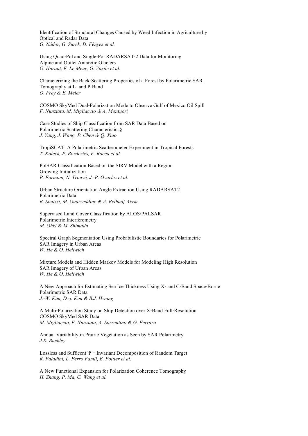Identification of Structural Changes Caused by Weed Infection in Agriculture by Optical and Radar Data *G. Nádor, G. Surek, D. Fényes et al.*

Using Quad‐Pol and Single‐Pol RADARSAT‐2 Data for Monitoring Alpine and Outlet Antarctic Glaciers *O. Harant, E. Le Meur, G. Vasile et al.*

Characterizing the Back‐Scattering Properties of a Forest by Polarimetric SAR Tomography at L‐ and P‐Band *O. Frey & E. Meier*

COSMO SkyMed Dual‐Polarization Mode to Observe Gulf of Mexico Oil Spill *F. Nunziata, M. Migliaccio & A. Montuori*

Case Studies of Ship Classification from SAR Data Based on Polarimetric Scattering Characteristics§ *J. Yang, J. Wang, P. Chen & Q. Xiao*

TropiSCAT: A Polarimetric Scatterometer Experiment in Tropical Forests *T. Koleck, P. Borderies, F. Rocca et al.*

PolSAR Classification Based on the SIRV Model with a Region Growing Initialization *P. Formont, N. Trouvé, J.-P. Ovarlez et al.*

Urban Structure Orientation Angle Extraction Using RADARSAT2 Polarimetric Data *B. Souissi, M. Ouarzeddine & A. Belhadj-Aissa*

Supervised Land‐Cover Classification by ALOS/PALSAR Polarimetric Interferometry *M. Ohki & M. Shimada*

Spectral Graph Segmentation Using Probabilistic Boundaries for Polarimetric SAR Imagery in Urban Areas *W. He & O. Hellwich*

Mixture Models and Hidden Markov Models for Modeling High Resolution SAR Imagery of Urban Areas *W. He & O. Hellwich*

A New Approach for Estimating Sea Ice Thickness Using X‐ and C‐Band Space‐Borne Polarimetric SAR Data *J.-W. Kim, D.-j. Kim & B.J. Hwang*

A Multi‐Polarization Study on Ship Detection over X‐Band Full‐Resolution COSMO SkyMed SAR Data *M. Migliaccio, F. Nunziata, A. Sorrentino & G. Ferrara*

Annual Variability in Prairie Vegetation as Seen by SAR Polarimetry *J.R. Buckley*

Lossless and Sufficent Ψ – Invariant Decomposition of Random Target *R. Paladini, L. Ferro Famil, E. Pottier et al.*

A New Functional Expansion for Polarization Coherence Tomography *H. Zhang, P. Ma, C. Wang et al.*